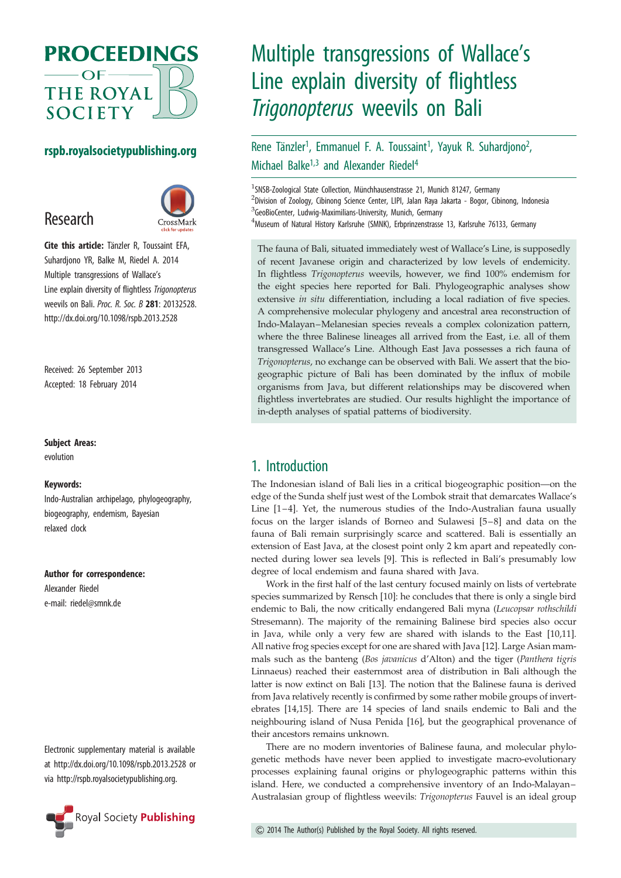

## rspb.royalsocietypublishing.org

# Research



Cite this article: Tänzler R, Toussaint EFA, Suhardjono YR, Balke M, Riedel A. 2014 Multiple transgressions of Wallace's Line explain diversity of flightless Trigonopterus weevils on Bali. Proc. R. Soc. B 281: 20132528. http://dx.doi.org/10.1098/rspb.2013.2528

Received: 26 September 2013 Accepted: 18 February 2014

#### Subject Areas:

evolution

#### Keywords:

Indo-Australian archipelago, phylogeography, biogeography, endemism, Bayesian relaxed clock

#### Author for correspondence:

Alexander Riedel e-mail: [riedel@smnk.de](mailto:riedel@smnk.de)

Electronic supplementary material is available at<http://dx.doi.org/10.1098/rspb.2013.2528> or via<http://rspb.royalsocietypublishing.org>.



# Multiple transgressions of Wallace's Line explain diversity of flightless Trigonopterus weevils on Bali

#### Rene Tänzler<sup>1</sup>, Emmanuel F. A. Toussaint<sup>1</sup>, Yayuk R. Suhardjono<sup>2</sup> .<br>י Michael Balke<sup>1,3</sup> and Alexander Riedel<sup>4</sup>

<sup>1</sup>SNSB-Zoological State Collection, Münchhausenstrasse 21, Munich 81247, Germany <sup>2</sup>Division of Zoology, Cibinong Science Center, LIPI, Jalan Raya Jakarta - Bogor, Cibinong, Indonesia <sup>3</sup>GeoBioCenter, Ludwig-Maximilians-University, Munich, Germany 4 Museum of Natural History Karlsruhe (SMNK), Erbprinzenstrasse 13, Karlsruhe 76133, Germany

The fauna of Bali, situated immediately west of Wallace's Line, is supposedly of recent Javanese origin and characterized by low levels of endemicity. In flightless Trigonopterus weevils, however, we find 100% endemism for the eight species here reported for Bali. Phylogeographic analyses show extensive in situ differentiation, including a local radiation of five species. A comprehensive molecular phylogeny and ancestral area reconstruction of Indo-Malayan–Melanesian species reveals a complex colonization pattern, where the three Balinese lineages all arrived from the East, i.e. all of them transgressed Wallace's Line. Although East Java possesses a rich fauna of Trigonopterus, no exchange can be observed with Bali. We assert that the biogeographic picture of Bali has been dominated by the influx of mobile organisms from Java, but different relationships may be discovered when flightless invertebrates are studied. Our results highlight the importance of in-depth analyses of spatial patterns of biodiversity.

# 1. Introduction

The Indonesian island of Bali lies in a critical biogeographic position—on the edge of the Sunda shelf just west of the Lombok strait that demarcates Wallace's Line [\[1](#page-5-0) –[4\]](#page-5-0). Yet, the numerous studies of the Indo-Australian fauna usually focus on the larger islands of Borneo and Sulawesi [[5](#page-5-0) –[8](#page-5-0)] and data on the fauna of Bali remain surprisingly scarce and scattered. Bali is essentially an extension of East Java, at the closest point only 2 km apart and repeatedly connected during lower sea levels [\[9\]](#page-5-0). This is reflected in Bali's presumably low degree of local endemism and fauna shared with Java.

Work in the first half of the last century focused mainly on lists of vertebrate species summarized by Rensch [[10](#page-5-0)]: he concludes that there is only a single bird endemic to Bali, the now critically endangered Bali myna (Leucopsar rothschildi Stresemann). The majority of the remaining Balinese bird species also occur in Java, while only a very few are shared with islands to the East [[10,11\]](#page-5-0). All native frog species except for one are shared with Java [\[12](#page-5-0)]. Large Asian mammals such as the banteng (Bos javanicus d'Alton) and the tiger (Panthera tigris Linnaeus) reached their easternmost area of distribution in Bali although the latter is now extinct on Bali [[13\]](#page-5-0). The notion that the Balinese fauna is derived from Java relatively recently is confirmed by some rather mobile groups of invertebrates [\[14](#page-6-0),[15](#page-6-0)]. There are 14 species of land snails endemic to Bali and the neighbouring island of Nusa Penida [\[16](#page-6-0)], but the geographical provenance of their ancestors remains unknown.

There are no modern inventories of Balinese fauna, and molecular phylogenetic methods have never been applied to investigate macro-evolutionary processes explaining faunal origins or phylogeographic patterns within this island. Here, we conducted a comprehensive inventory of an Indo-Malayan– Australasian group of flightless weevils: Trigonopterus Fauvel is an ideal group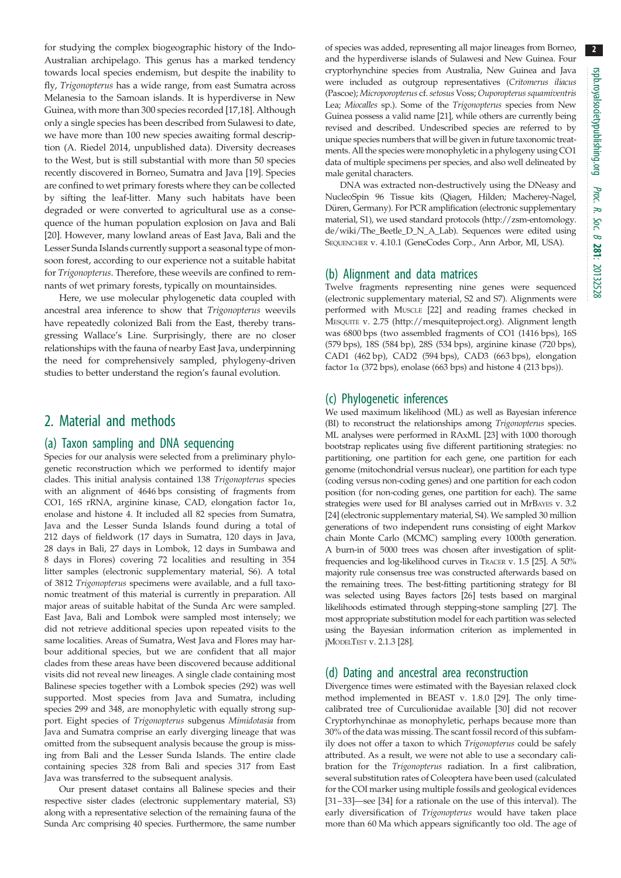for studying the complex biogeographic history of the Indo-Australian archipelago. This genus has a marked tendency towards local species endemism, but despite the inability to fly, Trigonopterus has a wide range, from east Sumatra across Melanesia to the Samoan islands. It is hyperdiverse in New Guinea, with more than 300 species recorded [\[17,18](#page-6-0)]. Although only a single species has been described from Sulawesi to date, we have more than 100 new species awaiting formal description (A. Riedel 2014, unpublished data). Diversity decreases to the West, but is still substantial with more than 50 species recently discovered in Borneo, Sumatra and Java [\[19](#page-6-0)]. Species are confined to wet primary forests where they can be collected by sifting the leaf-litter. Many such habitats have been degraded or were converted to agricultural use as a consequence of the human population explosion on Java and Bali [\[20](#page-6-0)]. However, many lowland areas of East Java, Bali and the Lesser Sunda Islands currently support a seasonal type of monsoon forest, according to our experience not a suitable habitat for Trigonopterus. Therefore, these weevils are confined to remnants of wet primary forests, typically on mountainsides.

Here, we use molecular phylogenetic data coupled with ancestral area inference to show that Trigonopterus weevils have repeatedly colonized Bali from the East, thereby transgressing Wallace's Line. Surprisingly, there are no closer relationships with the fauna of nearby East Java, underpinning the need for comprehensively sampled, phylogeny-driven studies to better understand the region's faunal evolution.

# 2. Material and methods

#### (a) Taxon sampling and DNA sequencing

Species for our analysis were selected from a preliminary phylogenetic reconstruction which we performed to identify major clades. This initial analysis contained 138 Trigonopterus species with an alignment of 4646 bps consisting of fragments from CO1, 16S rRNA, arginine kinase, CAD, elongation factor 1a, enolase and histone 4. It included all 82 species from Sumatra, Java and the Lesser Sunda Islands found during a total of 212 days of fieldwork (17 days in Sumatra, 120 days in Java, 28 days in Bali, 27 days in Lombok, 12 days in Sumbawa and 8 days in Flores) covering 72 localities and resulting in 354 litter samples (electronic supplementary material, S6). A total of 3812 Trigonopterus specimens were available, and a full taxonomic treatment of this material is currently in preparation. All major areas of suitable habitat of the Sunda Arc were sampled. East Java, Bali and Lombok were sampled most intensely; we did not retrieve additional species upon repeated visits to the same localities. Areas of Sumatra, West Java and Flores may harbour additional species, but we are confident that all major clades from these areas have been discovered because additional visits did not reveal new lineages. A single clade containing most Balinese species together with a Lombok species (292) was well supported. Most species from Java and Sumatra, including species 299 and 348, are monophyletic with equally strong support. Eight species of Trigonopterus subgenus Mimidotasia from Java and Sumatra comprise an early diverging lineage that was omitted from the subsequent analysis because the group is missing from Bali and the Lesser Sunda Islands. The entire clade containing species 328 from Bali and species 317 from East Java was transferred to the subsequent analysis.

Our present dataset contains all Balinese species and their respective sister clades (electronic supplementary material, S3) along with a representative selection of the remaining fauna of the Sunda Arc comprising 40 species. Furthermore, the same number

of species was added, representing all major lineages from Borneo, and the hyperdiverse islands of Sulawesi and New Guinea. Four cryptorhynchine species from Australia, New Guinea and Java were included as outgroup representatives (Critomerus iliacus (Pascoe); Microporopterus cf. setosus Voss; Ouporopterus squamiventris Lea; Miocalles sp.). Some of the Trigonopterus species from New Guinea possess a valid name [[21](#page-6-0)], while others are currently being revised and described. Undescribed species are referred to by unique species numbers that will be given in future taxonomic treatments. All the species were monophyletic in a phylogeny using CO1 data of multiple specimens per species, and also well delineated by male genital characters.

DNA was extracted non-destructively using the DNeasy and NucleoSpin 96 Tissue kits (Qiagen, Hilden; Macherey-Nagel, Düren, Germany). For PCR amplification (electronic supplementary material, S1), we used standard protocols ([http://zsm-entomology.](http://zsm-entomology.de/wiki/The_Beetle_D_N_A_Lab) [de/wiki/The\\_Beetle\\_D\\_N\\_A\\_Lab\)](http://zsm-entomology.de/wiki/The_Beetle_D_N_A_Lab). Sequences were edited using SEQUENCHER v. 4.10.1 (GeneCodes Corp., Ann Arbor, MI, USA).

#### (b) Alignment and data matrices

Twelve fragments representing nine genes were sequenced (electronic supplementary material, S2 and S7). Alignments were performed with MUSCLE [\[22\]](#page-6-0) and reading frames checked in MESQUITE v. 2.75 (<http://mesquiteproject.org>). Alignment length was 6800 bps (two assembled fragments of CO1 (1416 bps), 16S (579 bps), 18S (584 bp), 28S (534 bps), arginine kinase (720 bps), CAD1 (462 bp), CAD2 (594 bps), CAD3 (663 bps), elongation factor  $1\alpha$  (372 bps), enolase (663 bps) and histone 4 (213 bps)).

#### (c) Phylogenetic inferences

We used maximum likelihood (ML) as well as Bayesian inference (BI) to reconstruct the relationships among Trigonopterus species. ML analyses were performed in RAxML [[23\]](#page-6-0) with 1000 thorough bootstrap replicates using five different partitioning strategies: no partitioning, one partition for each gene, one partition for each genome (mitochondrial versus nuclear), one partition for each type (coding versus non-coding genes) and one partition for each codon position (for non-coding genes, one partition for each). The same strategies were used for BI analyses carried out in MrBAYES v. 3.2 [\[24\]](#page-6-0) (electronic supplementary material, S4). We sampled 30 million generations of two independent runs consisting of eight Markov chain Monte Carlo (MCMC) sampling every 1000th generation. A burn-in of 5000 trees was chosen after investigation of splitfrequencies and log-likelihood curves in TRACER v. 1.5 [[25\]](#page-6-0). A 50% majority rule consensus tree was constructed afterwards based on the remaining trees. The best-fitting partitioning strategy for BI was selected using Bayes factors [[26](#page-6-0)] tests based on marginal likelihoods estimated through stepping-stone sampling [\[27\]](#page-6-0). The most appropriate substitution model for each partition was selected using the Bayesian information criterion as implemented in jMODELTEST v. 2.1.3 [\[28](#page-6-0)].

#### (d) Dating and ancestral area reconstruction

Divergence times were estimated with the Bayesian relaxed clock method implemented in BEAST v. 1.8.0 [\[29\]](#page-6-0). The only timecalibrated tree of Curculionidae available [[30](#page-6-0)] did not recover Cryptorhynchinae as monophyletic, perhaps because more than 30% of the data was missing. The scant fossil record of this subfamily does not offer a taxon to which Trigonopterus could be safely attributed. As a result, we were not able to use a secondary calibration for the Trigonopterus radiation. In a first calibration, several substitution rates of Coleoptera have been used (calculated for the COI marker using multiple fossils and geological evidences [[31](#page-6-0)–[33](#page-6-0)]—see [\[34\]](#page-6-0) for a rationale on the use of this interval). The early diversification of Trigonopterus would have taken place more than 60 Ma which appears significantly too old. The age of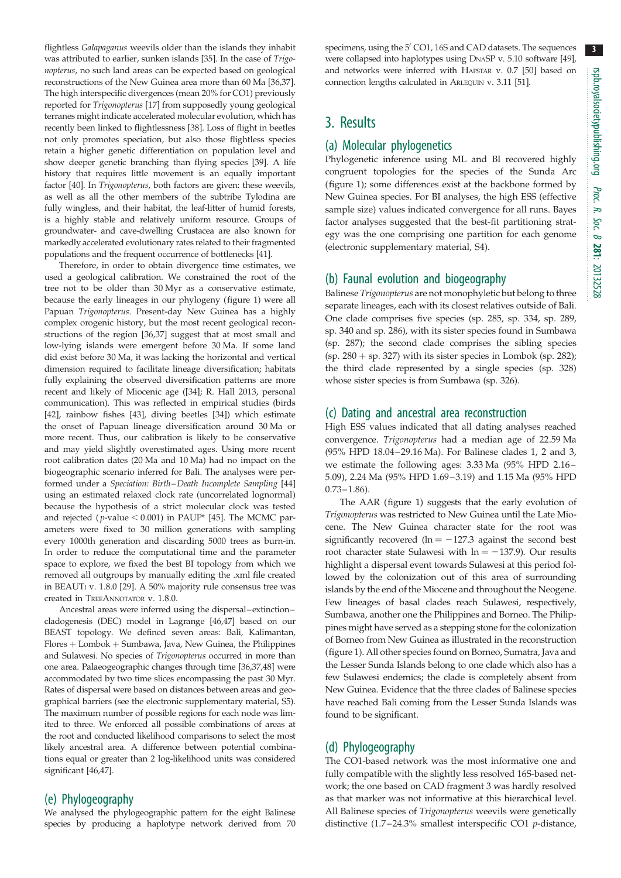3

flightless Galapaganus weevils older than the islands they inhabit was attributed to earlier, sunken islands [[35](#page-6-0)]. In the case of Trigonopterus, no such land areas can be expected based on geological reconstructions of the New Guinea area more than 60 Ma [[36,37\]](#page-6-0). The high interspecific divergences (mean 20% for CO1) previously reported for Trigonopterus [\[17](#page-6-0)] from supposedly young geological terranes might indicate accelerated molecular evolution, which has recently been linked to flightlessness [[38](#page-6-0)]. Loss of flight in beetles not only promotes speciation, but also those flightless species retain a higher genetic differentiation on population level and show deeper genetic branching than flying species [\[39\]](#page-6-0). A life history that requires little movement is an equally important factor [[40](#page-6-0)]. In Trigonopterus, both factors are given: these weevils, as well as all the other members of the subtribe Tylodina are fully wingless, and their habitat, the leaf-litter of humid forests, is a highly stable and relatively uniform resource. Groups of groundwater- and cave-dwelling Crustacea are also known for markedly accelerated evolutionary rates related to their fragmented populations and the frequent occurrence of bottlenecks [\[41\]](#page-6-0).

Therefore, in order to obtain divergence time estimates, we used a geological calibration. We constrained the root of the tree not to be older than 30 Myr as a conservative estimate, because the early lineages in our phylogeny [\(figure 1](#page-3-0)) were all Papuan Trigonopterus. Present-day New Guinea has a highly complex orogenic history, but the most recent geological reconstructions of the region [\[36,37\]](#page-6-0) suggest that at most small and low-lying islands were emergent before 30 Ma. If some land did exist before 30 Ma, it was lacking the horizontal and vertical dimension required to facilitate lineage diversification; habitats fully explaining the observed diversification patterns are more recent and likely of Miocenic age ([[34](#page-6-0)]; R. Hall 2013, personal communication). This was reflected in empirical studies (birds [\[42\]](#page-6-0), rainbow fishes [\[43\]](#page-6-0), diving beetles [[34](#page-6-0)]) which estimate the onset of Papuan lineage diversification around 30 Ma or more recent. Thus, our calibration is likely to be conservative and may yield slightly overestimated ages. Using more recent root calibration dates (20 Ma and 10 Ma) had no impact on the biogeographic scenario inferred for Bali. The analyses were performed under a Speciation: Birth –Death Incomplete Sampling [\[44\]](#page-6-0) using an estimated relaxed clock rate (uncorrelated lognormal) because the hypothesis of a strict molecular clock was tested and rejected ( $p$ -value < 0.001) in PAUP\* [[45](#page-6-0)]. The MCMC parameters were fixed to 30 million generations with sampling every 1000th generation and discarding 5000 trees as burn-in. In order to reduce the computational time and the parameter space to explore, we fixed the best BI topology from which we removed all outgroups by manually editing the .xml file created in BEAUTI v. 1.8.0 [[29\]](#page-6-0). A 50% majority rule consensus tree was created in TREEANNOTATOR v. 1.8.0.

Ancestral areas were inferred using the dispersal–extinction– cladogenesis (DEC) model in Lagrange [[46,47](#page-6-0)] based on our BEAST topology. We defined seven areas: Bali, Kalimantan,  $Flores + Lombok + Sumbawa, Java, New Guinea, the Philippines$ and Sulawesi. No species of Trigonopterus occurred in more than one area. Palaeogeographic changes through time [\[36,37,48](#page-6-0)] were accommodated by two time slices encompassing the past 30 Myr. Rates of dispersal were based on distances between areas and geographical barriers (see the electronic supplementary material, S5). The maximum number of possible regions for each node was limited to three. We enforced all possible combinations of areas at the root and conducted likelihood comparisons to select the most likely ancestral area. A difference between potential combinations equal or greater than 2 log-likelihood units was considered significant [[46,47](#page-6-0)].

#### (e) Phylogeography

We analysed the phylogeographic pattern for the eight Balinese species by producing a haplotype network derived from 70 specimens, using the 5' CO1, 16S and CAD datasets. The sequences were collapsed into haplotypes using DNASP v. 5.10 software [[49](#page-6-0)], and networks were inferred with HAPSTAR v. 0.7 [\[50\]](#page-6-0) based on connection lengths calculated in ARLEQUIN v. 3.11 [\[51](#page-6-0)].

# 3. Results

#### (a) Molecular phylogenetics

Phylogenetic inference using ML and BI recovered highly congruent topologies for the species of the Sunda Arc ([figure 1](#page-3-0)); some differences exist at the backbone formed by New Guinea species. For BI analyses, the high ESS (effective sample size) values indicated convergence for all runs. Bayes factor analyses suggested that the best-fit partitioning strategy was the one comprising one partition for each genome (electronic supplementary material, S4).

### (b) Faunal evolution and biogeography

Balinese Trigonopterus are not monophyletic but belong to three separate lineages, each with its closest relatives outside of Bali. One clade comprises five species (sp. 285, sp. 334, sp. 289, sp. 340 and sp. 286), with its sister species found in Sumbawa (sp. 287); the second clade comprises the sibling species (sp.  $280 + sp. 327$ ) with its sister species in Lombok (sp. 282); the third clade represented by a single species (sp. 328) whose sister species is from Sumbawa (sp. 326).

#### (c) Dating and ancestral area reconstruction

High ESS values indicated that all dating analyses reached convergence. Trigonopterus had a median age of 22.59 Ma (95% HPD 18.04–29.16 Ma). For Balinese clades 1, 2 and 3, we estimate the following ages: 3.33 Ma (95% HPD 2.16– 5.09), 2.24 Ma (95% HPD 1.69 –3.19) and 1.15 Ma (95% HPD  $0.73 - 1.86$ .

The AAR [\(figure 1\)](#page-3-0) suggests that the early evolution of Trigonopterus was restricted to New Guinea until the Late Miocene. The New Guinea character state for the root was significantly recovered (ln  $= -127.3$  against the second best root character state Sulawesi with  $ln = -137.9$ ). Our results highlight a dispersal event towards Sulawesi at this period followed by the colonization out of this area of surrounding islands by the end of the Miocene and throughout the Neogene. Few lineages of basal clades reach Sulawesi, respectively, Sumbawa, another one the Philippines and Borneo. The Philippines might have served as a stepping stone for the colonization of Borneo from New Guinea as illustrated in the reconstruction ([figure 1](#page-3-0)). All other species found on Borneo, Sumatra, Java and the Lesser Sunda Islands belong to one clade which also has a few Sulawesi endemics; the clade is completely absent from New Guinea. Evidence that the three clades of Balinese species have reached Bali coming from the Lesser Sunda Islands was found to be significant.

#### (d) Phylogeography

The CO1-based network was the most informative one and fully compatible with the slightly less resolved 16S-based network; the one based on CAD fragment 3 was hardly resolved as that marker was not informative at this hierarchical level. All Balinese species of Trigonopterus weevils were genetically distinctive (1.7–24.3% smallest interspecific CO1 p-distance,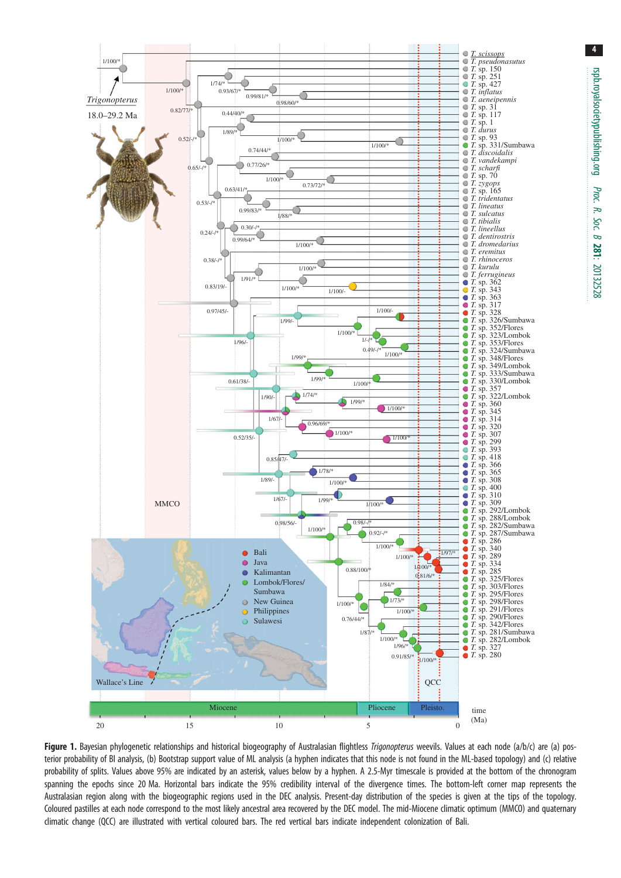<span id="page-3-0"></span>

Figure 1. Bayesian phylogenetic relationships and historical biogeography of Australasian flightless Trigonopterus weevils. Values at each node (a/b/c) are (a) posterior probability of BI analysis, (b) Bootstrap support value of ML analysis (a hyphen indicates that this node is not found in the ML-based topology) and (c) relative probability of splits. Values above 95% are indicated by an asterisk, values below by a hyphen. A 2.5-Myr timescale is provided at the bottom of the chronogram spanning the epochs since 20 Ma. Horizontal bars indicate the 95% credibility interval of the divergence times. The bottom-left corner map represents the Australasian region along with the biogeographic regions used in the DEC analysis. Present-day distribution of the species is given at the tips of the topology. Coloured pastilles at each node correspond to the most likely ancestral area recovered by the DEC model. The mid-Miocene climatic optimum (MMCO) and quaternary climatic change (QCC) are illustrated with vertical coloured bars. The red vertical bars indicate independent colonization of Bali.

4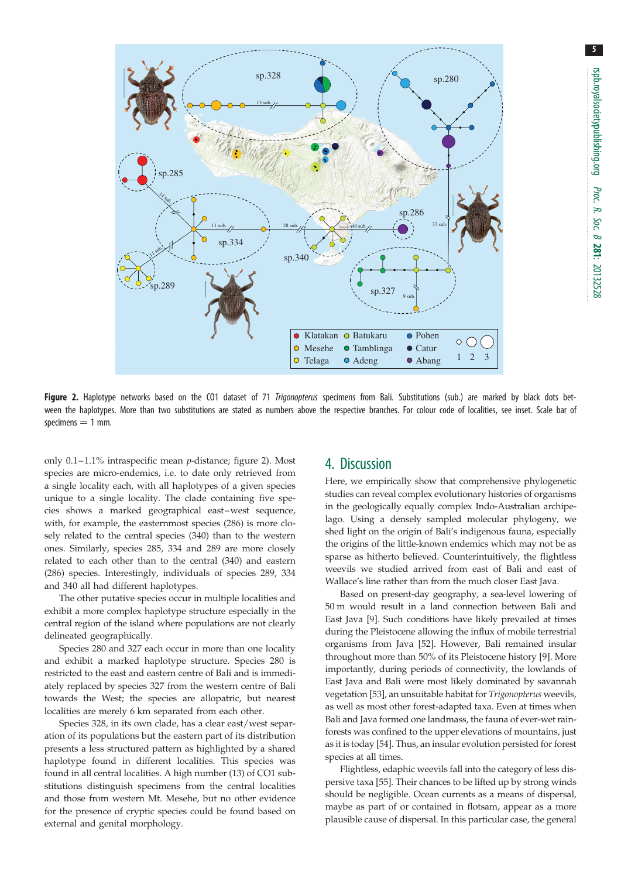

Figure 2. Haplotype networks based on the CO1 dataset of 71 Trigonopterus specimens from Bali. Substitutions (sub.) are marked by black dots between the haplotypes. More than two substitutions are stated as numbers above the respective branches. For colour code of localities, see inset. Scale bar of  $s$ pecimens  $= 1$  mm.

only 0.1–1.1% intraspecific mean p-distance; figure 2). Most species are micro-endemics, i.e. to date only retrieved from a single locality each, with all haplotypes of a given species unique to a single locality. The clade containing five species shows a marked geographical east-west sequence, with, for example, the easternmost species (286) is more closely related to the central species (340) than to the western ones. Similarly, species 285, 334 and 289 are more closely related to each other than to the central (340) and eastern (286) species. Interestingly, individuals of species 289, 334 and 340 all had different haplotypes.

The other putative species occur in multiple localities and exhibit a more complex haplotype structure especially in the central region of the island where populations are not clearly delineated geographically.

Species 280 and 327 each occur in more than one locality and exhibit a marked haplotype structure. Species 280 is restricted to the east and eastern centre of Bali and is immediately replaced by species 327 from the western centre of Bali towards the West; the species are allopatric, but nearest localities are merely 6 km separated from each other.

Species 328, in its own clade, has a clear east/west separation of its populations but the eastern part of its distribution presents a less structured pattern as highlighted by a shared haplotype found in different localities. This species was found in all central localities. A high number (13) of CO1 substitutions distinguish specimens from the central localities and those from western Mt. Mesehe, but no other evidence for the presence of cryptic species could be found based on external and genital morphology.

## 4. Discussion

Here, we empirically show that comprehensive phylogenetic studies can reveal complex evolutionary histories of organisms in the geologically equally complex Indo-Australian archipelago. Using a densely sampled molecular phylogeny, we shed light on the origin of Bali's indigenous fauna, especially the origins of the little-known endemics which may not be as sparse as hitherto believed. Counterintuitively, the flightless weevils we studied arrived from east of Bali and east of Wallace's line rather than from the much closer East Java.

Based on present-day geography, a sea-level lowering of 50 m would result in a land connection between Bali and East Java [[9](#page-5-0)]. Such conditions have likely prevailed at times during the Pleistocene allowing the influx of mobile terrestrial organisms from Java [\[52\]](#page-6-0). However, Bali remained insular throughout more than 50% of its Pleistocene history [\[9](#page-5-0)]. More importantly, during periods of connectivity, the lowlands of East Java and Bali were most likely dominated by savannah vegetation [\[53\]](#page-6-0), an unsuitable habitat for Trigonopterus weevils, as well as most other forest-adapted taxa. Even at times when Bali and Java formed one landmass, the fauna of ever-wet rainforests was confined to the upper elevations of mountains, just as it is today [[54\]](#page-6-0). Thus, an insular evolution persisted for forest species at all times.

Flightless, edaphic weevils fall into the category of less dispersive taxa [\[55](#page-6-0)]. Their chances to be lifted up by strong winds should be negligible. Ocean currents as a means of dispersal, maybe as part of or contained in flotsam, appear as a more plausible cause of dispersal. In this particular case, the general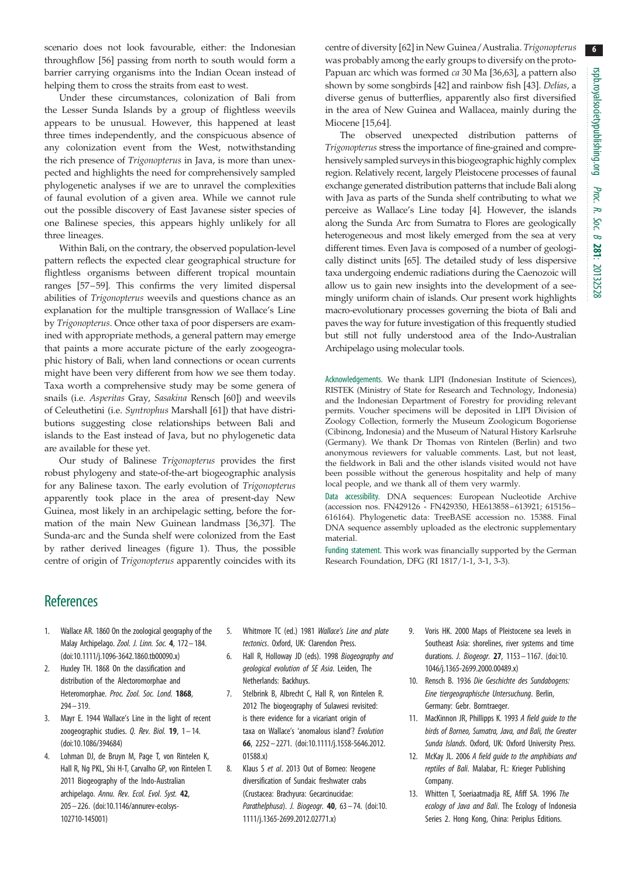<span id="page-5-0"></span>scenario does not look favourable, either: the Indonesian throughflow [\[56](#page-6-0)] passing from north to south would form a barrier carrying organisms into the Indian Ocean instead of helping them to cross the straits from east to west.

Under these circumstances, colonization of Bali from the Lesser Sunda Islands by a group of flightless weevils appears to be unusual. However, this happened at least three times independently, and the conspicuous absence of any colonization event from the West, notwithstanding the rich presence of Trigonopterus in Java, is more than unexpected and highlights the need for comprehensively sampled phylogenetic analyses if we are to unravel the complexities of faunal evolution of a given area. While we cannot rule out the possible discovery of East Javanese sister species of one Balinese species, this appears highly unlikely for all three lineages.

Within Bali, on the contrary, the observed population-level pattern reflects the expected clear geographical structure for flightless organisms between different tropical mountain ranges [[57](#page-6-0)–[59\]](#page-7-0). This confirms the very limited dispersal abilities of Trigonopterus weevils and questions chance as an explanation for the multiple transgression of Wallace's Line by Trigonopterus. Once other taxa of poor dispersers are examined with appropriate methods, a general pattern may emerge that paints a more accurate picture of the early zoogeographic history of Bali, when land connections or ocean currents might have been very different from how we see them today. Taxa worth a comprehensive study may be some genera of snails (i.e. Asperitas Gray, Sasakina Rensch [\[60](#page-7-0)]) and weevils of Celeuthetini (i.e. Syntrophus Marshall [\[61](#page-7-0)]) that have distributions suggesting close relationships between Bali and islands to the East instead of Java, but no phylogenetic data are available for these yet.

Our study of Balinese Trigonopterus provides the first robust phylogeny and state-of-the-art biogeographic analysis for any Balinese taxon. The early evolution of Trigonopterus apparently took place in the area of present-day New Guinea, most likely in an archipelagic setting, before the formation of the main New Guinean landmass [\[36](#page-6-0),[37](#page-6-0)]. The Sunda-arc and the Sunda shelf were colonized from the East by rather derived lineages [\(figure 1](#page-3-0)). Thus, the possible centre of origin of Trigonopterus apparently coincides with its centre of diversity [\[62](#page-7-0)] in New Guinea/Australia. Trigonopterus was probably among the early groups to diversify on the proto-Papuan arc which was formed ca 30 Ma [\[36](#page-6-0),[63](#page-7-0)], a pattern also shown by some songbirds [\[42](#page-6-0)] and rainbow fish [[43\]](#page-6-0). Delias, a diverse genus of butterflies, apparently also first diversified in the area of New Guinea and Wallacea, mainly during the Miocene [\[15](#page-6-0)[,64](#page-7-0)].

The observed unexpected distribution patterns of Trigonopterus stress the importance of fine-grained and comprehensively sampled surveys in this biogeographic highly complex region. Relatively recent, largely Pleistocene processes of faunal exchange generated distribution patterns that include Bali along with Java as parts of the Sunda shelf contributing to what we perceive as Wallace's Line today [4]. However, the islands along the Sunda Arc from Sumatra to Flores are geologically heterogeneous and most likely emerged from the sea at very different times. Even Java is composed of a number of geologically distinct units [\[65](#page-7-0)]. The detailed study of less dispersive taxa undergoing endemic radiations during the Caenozoic will allow us to gain new insights into the development of a seemingly uniform chain of islands. Our present work highlights macro-evolutionary processes governing the biota of Bali and paves the way for future investigation of this frequently studied but still not fully understood area of the Indo-Australian Archipelago using molecular tools.

Acknowledgements. We thank LIPI (Indonesian Institute of Sciences), RISTEK (Ministry of State for Research and Technology, Indonesia) and the Indonesian Department of Forestry for providing relevant permits. Voucher specimens will be deposited in LIPI Division of Zoology Collection, formerly the Museum Zoologicum Bogoriense (Cibinong, Indonesia) and the Museum of Natural History Karlsruhe (Germany). We thank Dr Thomas von Rintelen (Berlin) and two anonymous reviewers for valuable comments. Last, but not least, the fieldwork in Bali and the other islands visited would not have been possible without the generous hospitality and help of many local people, and we thank all of them very warmly.

Data accessibility. DNA sequences: European Nucleotide Archive (accession nos. FN429126 - FN429350, HE613858– 613921; 615156– 616164). Phylogenetic data: TreeBASE accession no. 15388. Final DNA sequence assembly uploaded as the electronic supplementary material.

Funding statement. This work was financially supported by the German Research Foundation, DFG (RI 1817/1-1, 3-1, 3-3).

# **References**

- 1. Wallace AR. 1860 On the zoological geography of the Malay Archipelago. Zool. J. Linn. Soc. 4, 172– 184. [\(doi:10.1111/j.1096-3642.1860.tb00090.x](http://dx.doi.org/10.1111/j.1096-3642.1860.tb00090.x))
- 2. Huxley TH. 1868 On the classification and distribution of the Alectoromorphae and Heteromorphae. Proc. Zool. Soc. Lond. 1868, 294– 319.
- 3. Mayr E. 1944 Wallace's Line in the light of recent zoogeographic studies. Q. Rev. Biol.  $19$ ,  $1 - 14$ . [\(doi:10.1086/394684](http://dx.doi.org/10.1086/394684))
- 4. Lohman DJ, de Bruyn M, Page T, von Rintelen K, Hall R, Ng PKL, Shi H-T, Carvalho GP, von Rintelen T. 2011 Biogeography of the Indo-Australian archipelago. Annu. Rev. Ecol. Evol. Syst. 42, 205– 226. ([doi:10.1146/annurev-ecolsys-](http://dx.doi.org/10.1146/annurev-ecolsys-102710-145001)[102710-145001](http://dx.doi.org/10.1146/annurev-ecolsys-102710-145001))
- 5. Whitmore TC (ed.) 1981 Wallace's Line and plate tectonics. Oxford, UK: Clarendon Press.
- 6. Hall R, Holloway JD (eds). 1998 Biogeography and geological evolution of SE Asia. Leiden, The Netherlands: Backhuys.
- 7. Stelbrink B, Albrecht C, Hall R, von Rintelen R. 2012 The biogeography of Sulawesi revisited: is there evidence for a vicariant origin of taxa on Wallace's 'anomalous island'? Evolution 66, 2252 – 2271. [\(doi:10.1111/j.1558-5646.2012.](http://dx.doi.org/10.1111/j.1558-5646.2012.01588.x) [01588.x](http://dx.doi.org/10.1111/j.1558-5646.2012.01588.x))
- 8. Klaus S et al. 2013 Out of Borneo: Neogene diversification of Sundaic freshwater crabs (Crustacea: Brachyura: Gecarcinucidae: Parathelphusa). J. Biogeogr.  $40$ ,  $63 - 74$ . [\(doi:10.](http://dx.doi.org/10.1111/j.1365-2699.2012.02771.x) [1111/j.1365-2699.2012.02771.x](http://dx.doi.org/10.1111/j.1365-2699.2012.02771.x))
- 9. Voris HK. 2000 Maps of Pleistocene sea levels in Southeast Asia: shorelines, river systems and time durations. J. Biogeogr. 27, 1153– 1167. ([doi:10.](http://dx.doi.org/10.1046/j.1365-2699.2000.00489.x) [1046/j.1365-2699.2000.00489.x\)](http://dx.doi.org/10.1046/j.1365-2699.2000.00489.x)
- 10. Rensch B. 1936 Die Geschichte des Sundabogens: Eine tiergeographische Untersuchung. Berlin, Germany: Gebr. Borntraeger.
- 11. MacKinnon JR, Phillipps K. 1993 A field guide to the birds of Borneo, Sumatra, Java, and Bali, the Greater Sunda Islands. Oxford, UK: Oxford University Press.
- 12. McKay JL. 2006 A field guide to the amphibians and reptiles of Bali. Malabar, FL: Krieger Publishing Company.
- 13. Whitten T, Soeriaatmadja RE, Afiff SA. 1996 The ecology of Java and Bali. The Ecology of Indonesia Series 2. Hong Kong, China: Periplus Editions.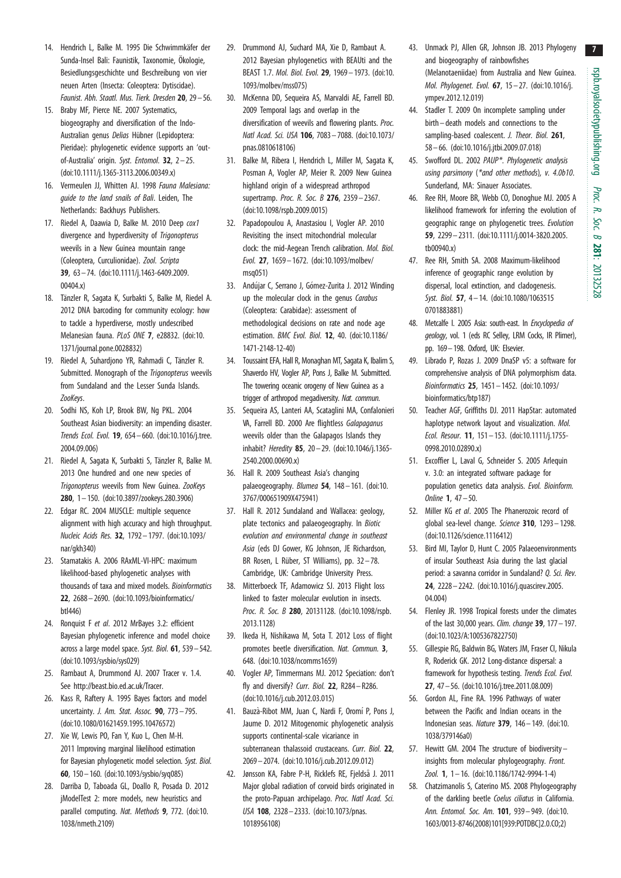7

- <span id="page-6-0"></span>14. Hendrich L, Balke M. 1995 Die Schwimmkäfer der Sunda-Insel Bali: Faunistik, Taxonomie, Ökologie, Besiedlungsgeschichte und Beschreibung von vier neuen Arten (Insecta: Coleoptera: Dytiscidae). Faunist. Abh. Staatl. Mus. Tierk. Dresden 20, 29– 56.
- 15. Braby MF, Pierce NE. 2007 Systematics, biogeography and diversification of the Indo-Australian genus Delias Hübner (Lepidoptera: Pieridae): phylogenetic evidence supports an 'outof-Australia' origin. Syst. Entomol. 32, 2-25. [\(doi:10.1111/j.1365-3113.2006.00349.x](http://dx.doi.org/10.1111/j.1365-3113.2006.00349.x))
- 16. Vermeulen JJ, Whitten AJ. 1998 Fauna Malesiana: guide to the land snails of Bali. Leiden, The Netherlands: Backhuys Publishers.
- 17. Riedel A, Daawia D, Balke M. 2010 Deep cox1 divergence and hyperdiversity of Trigonopterus weevils in a New Guinea mountain range (Coleoptera, Curculionidae). Zool. Scripta 39, 63 – 74. ([doi:10.1111/j.1463-6409.2009.](http://dx.doi.org/10.1111/j.1463-6409.2009.00404.x) [00404.x\)](http://dx.doi.org/10.1111/j.1463-6409.2009.00404.x)
- 18. Tänzler R, Sagata K, Surbakti S, Balke M, Riedel A. 2012 DNA barcoding for community ecology: how to tackle a hyperdiverse, mostly undescribed Melanesian fauna. PLoS ONE 7, e28832. [\(doi:10.](http://dx.doi.org/10.1371/journal.pone.0028832) [1371/journal.pone.0028832\)](http://dx.doi.org/10.1371/journal.pone.0028832)
- 19. Riedel A, Suhardiono YR, Rahmadi C, Tänzler R. Submitted. Monograph of the *Trigonopterus* weevils from Sundaland and the Lesser Sunda Islands. ZooKeys.
- 20. Sodhi NS, Koh LP, Brook BW, Ng PKL. 2004 Southeast Asian biodiversity: an impending disaster. Trends Ecol. Evol. 19, 654 – 660. ([doi:10.1016/j.tree.](http://dx.doi.org/10.1016/j.tree.2004.09.006) [2004.09.006\)](http://dx.doi.org/10.1016/j.tree.2004.09.006)
- 21. Riedel A, Sagata K, Surbakti S, Tänzler R, Balke M. 2013 One hundred and one new species of Trigonopterus weevils from New Guinea. ZooKeys 280, 1– 150. ([doi:10.3897/zookeys.280.3906](http://dx.doi.org/10.3897/zookeys.280.3906))
- 22. Edgar RC. 2004 MUSCLE: multiple sequence alignment with high accuracy and high throughput. Nucleic Acids Res. 32, 1792– 1797. ([doi:10.1093/](http://dx.doi.org/10.1093/nar/gkh340) [nar/gkh340\)](http://dx.doi.org/10.1093/nar/gkh340)
- 23. Stamatakis A. 2006 RAxML-VI-HPC: maximum likelihood-based phylogenetic analyses with thousands of taxa and mixed models. Bioinformatics 22, 2688– 2690. [\(doi:10.1093/bioinformatics/](http://dx.doi.org/10.1093/bioinformatics/btl446) [btl446\)](http://dx.doi.org/10.1093/bioinformatics/btl446)
- 24. Ronquist F et al. 2012 MrBayes 3.2: efficient Bayesian phylogenetic inference and model choice across a large model space. Syst. Biol. 61, 539– 542. [\(doi:10.1093/sysbio/sys029\)](http://dx.doi.org/10.1093/sysbio/sys029)
- 25. Rambaut A, Drummond AJ. 2007 Tracer v. 1.4. See<http://beast.bio.ed.ac.uk/Tracer>.
- 26. Kass R, Raftery A. 1995 Bayes factors and model uncertainty. J. Am. Stat. Assoc. 90, 773– 795. [\(doi:10.1080/01621459.1995.10476572\)](http://dx.doi.org/10.1080/01621459.1995.10476572)
- 27. Xie W, Lewis PO, Fan Y, Kuo L, Chen M-H. 2011 Improving marginal likelihood estimation for Bayesian phylogenetic model selection. Syst. Biol. 60, 150–160. [\(doi:10.1093/sysbio/syq085\)](http://dx.doi.org/10.1093/sysbio/syq085)
- 28. Darriba D, Taboada GL, Doallo R, Posada D. 2012 jModelTest 2: more models, new heuristics and parallel computing. Nat. Methods 9, 772. [\(doi:10.](http://dx.doi.org/10.1038/nmeth.2109) [1038/nmeth.2109](http://dx.doi.org/10.1038/nmeth.2109))
- 29. Drummond AJ, Suchard MA, Xie D, Rambaut A. 2012 Bayesian phylogenetics with BEAUti and the BEAST 1.7. Mol. Biol. Evol. 29, 1969– 1973. [\(doi:10.](http://dx.doi.org/10.1093/molbev/mss075) [1093/molbev/mss075](http://dx.doi.org/10.1093/molbev/mss075))
- 30. McKenna DD, Sequeira AS, Marvaldi AE, Farrell BD. 2009 Temporal lags and overlap in the diversification of weevils and flowering plants. Proc. Natl Acad. Sci. USA 106, 7083– 7088. [\(doi:10.1073/](http://dx.doi.org/10.1073/pnas.0810618106) [pnas.0810618106](http://dx.doi.org/10.1073/pnas.0810618106))
- 31. Balke M, Ribera I, Hendrich L, Miller M, Sagata K, Posman A, Vogler AP, Meier R. 2009 New Guinea highland origin of a widespread arthropod supertramp. Proc. R. Soc. B 276, 2359-2367. [\(doi:10.1098/rspb.2009.0015\)](http://dx.doi.org/10.1098/rspb.2009.0015)
- 32. Papadopoulou A, Anastasiou I, Vogler AP. 2010 Revisiting the insect mitochondrial molecular clock: the mid-Aegean Trench calibration. Mol. Biol. Evol. 27, 1659– 1672. ([doi:10.1093/molbev/](http://dx.doi.org/10.1093/molbev/msq051) [msq051\)](http://dx.doi.org/10.1093/molbev/msq051)
- 33. Andújar C, Serrano J, Gómez-Zurita J. 2012 Winding up the molecular clock in the genus Carabus (Coleoptera: Carabidae): assessment of methodological decisions on rate and node age estimation. BMC Evol. Biol. 12, 40. [\(doi:10.1186/](http://dx.doi.org/10.1186/1471-2148-12-40) [1471-2148-12-40\)](http://dx.doi.org/10.1186/1471-2148-12-40)
- 34. Toussaint EFA, Hall R, Monaghan MT, Sagata K, Ibalim S, Shaverdo HV, Vogler AP, Pons J, Balke M. Submitted. The towering oceanic orogeny of New Guinea as a trigger of arthropod megadiversity. Nat. commun.
- 35. Sequeira AS, Lanteri AA, Scataglini MA, Confalonieri VA, Farrell BD. 2000 Are flightless Galapaganus weevils older than the Galapagos Islands they inhabit? Heredity 85, 20 – 29. ([doi:10.1046/j.1365-](http://dx.doi.org/10.1046/j.1365-2540.2000.00690.x) [2540.2000.00690.x\)](http://dx.doi.org/10.1046/j.1365-2540.2000.00690.x)
- 36. Hall R. 2009 Southeast Asia's changing palaeogeography. Blumea 54, 148– 161. ([doi:10.](http://dx.doi.org/10.3767/000651909X475941) [3767/000651909X475941\)](http://dx.doi.org/10.3767/000651909X475941)
- 37. Hall R. 2012 Sundaland and Wallacea: geology, plate tectonics and palaeogeography. In Biotic evolution and environmental change in southeast Asia (eds DJ Gower, KG Johnson, JE Richardson, BR Rosen, L Rüber, ST Williams), pp. 32-78. Cambridge, UK: Cambridge University Press.
- 38. Mitterboeck TF, Adamowicz SJ. 2013 Flight loss linked to faster molecular evolution in insects. Proc. R. Soc. B 280, 20131128. [\(doi:10.1098/rspb.](http://dx.doi.org/10.1098/rspb.2013.1128) [2013.1128\)](http://dx.doi.org/10.1098/rspb.2013.1128)
- 39. Ikeda H, Nishikawa M, Sota T. 2012 Loss of flight promotes beetle diversification. Nat. Commun. 3, 648. ([doi:10.1038/ncomms1659](http://dx.doi.org/10.1038/ncomms1659))
- 40. Vogler AP, Timmermans MJ. 2012 Speciation: don't fly and diversify? Curr. Biol. 22, R284– R286. [\(doi:10.1016/j.cub.2012.03.015](http://dx.doi.org/10.1016/j.cub.2012.03.015))
- 41. Bauzà-Ribot MM, Juan C, Nardi F, Oromí P, Pons J, Jaume D. 2012 Mitogenomic phylogenetic analysis supports continental-scale vicariance in subterranean thalassoid crustaceans. Curr. Biol. 22. 2069– 2074. [\(doi:10.1016/j.cub.2012.09.012](http://dx.doi.org/10.1016/j.cub.2012.09.012))
- 42. Jønsson KA, Fabre P-H, Ricklefs RE, Fjeldså J. 2011 Major global radiation of corvoid birds originated in the proto-Papuan archipelago. Proc. Natl Acad. Sci. USA 108, 2328– 2333. ([doi:10.1073/pnas.](http://dx.doi.org/10.1073/pnas.1018956108) [1018956108\)](http://dx.doi.org/10.1073/pnas.1018956108)
- 43. Unmack PJ, Allen GR, Johnson JB. 2013 Phylogeny and biogeography of rainbowfishes (Melanotaeniidae) from Australia and New Guinea. Mol. Phylogenet. Evol. 67, 15 – 27. [\(doi:10.1016/j.](http://dx.doi.org/10.1016/j.ympev.2012.12.019) [ympev.2012.12.019\)](http://dx.doi.org/10.1016/j.ympev.2012.12.019)
- 44. Stadler T. 2009 On incomplete sampling under birth–death models and connections to the sampling-based coalescent. J. Theor. Biol. 261. 58– 66. [\(doi:10.1016/j.jtbi.2009.07.018\)](http://dx.doi.org/10.1016/j.jtbi.2009.07.018)
- 45. Swofford DL. 2002 PAUP\*. Phylogenetic analysis using parsimony (\*and other methods), v. 4.0b10. Sunderland, MA: Sinauer Associates.
- 46. Ree RH, Moore BR, Webb CO, Donoghue MJ. 2005 A likelihood framework for inferring the evolution of geographic range on phylogenetic trees. Evolution 59, 2299– 2311. [\(doi:10.1111/j.0014-3820.2005.](http://dx.doi.org/10.1111/j.0014-3820.2005.tb00940.x) [tb00940.x](http://dx.doi.org/10.1111/j.0014-3820.2005.tb00940.x))
- 47. Ree RH, Smith SA. 2008 Maximum-likelihood inference of geographic range evolution by dispersal, local extinction, and cladogenesis. Syst. Biol. 57, 4-14. [\(doi:10.1080/1063515](http://dx.doi.org/10.1080/10635150701883881) [0701883881](http://dx.doi.org/10.1080/10635150701883881))
- 48. Metcalfe I. 2005 Asia: south-east. In *Encyclopedia of* geology, vol. 1 (eds RC Selley, LRM Cocks, IR Plimer), pp. 169–198. Oxford, UK: Elsevier.
- 49. Librado P, Rozas J. 2009 DnaSP v5: a software for comprehensive analysis of DNA polymorphism data. Bioinformatics 25, 1451 – 1452. [\(doi:10.1093/](http://dx.doi.org/10.1093/bioinformatics/btp187) [bioinformatics/btp187](http://dx.doi.org/10.1093/bioinformatics/btp187))
- 50. Teacher AGF, Griffiths DJ. 2011 HapStar: automated haplotype network layout and visualization. Mol. Ecol. Resour. 11, 151 – 153. [\(doi:10.1111/j.1755-](http://dx.doi.org/10.1111/j.1755-0998.2010.02890.x) [0998.2010.02890.x\)](http://dx.doi.org/10.1111/j.1755-0998.2010.02890.x)
- 51. Excoffier L, Laval G, Schneider S. 2005 Arlequin v. 3.0: an integrated software package for population genetics data analysis. Evol. Bioinform. Online 1, 47 – 50.
- 52. Miller KG et al. 2005 The Phanerozoic record of global sea-level change. Science 310, 1293– 1298. ([doi:10.1126/science.1116412](http://dx.doi.org/10.1126/science.1116412))
- 53. Bird MI, Taylor D, Hunt C. 2005 Palaeoenvironments of insular Southeast Asia during the last glacial period: a savanna corridor in Sundaland? Q. Sci. Rev. 24, 2228– 2242. [\(doi:10.1016/j.quascirev.2005.](http://dx.doi.org/10.1016/j.quascirev.2005.04.004) [04.004](http://dx.doi.org/10.1016/j.quascirev.2005.04.004))
- 54. Flenley JR. 1998 Tropical forests under the climates of the last 30,000 years. Clim. change 39, 177 – 197. ([doi:10.1023/A:1005367822750\)](http://dx.doi.org/10.1023/A:1005367822750)
- 55. Gillespie RG, Baldwin BG, Waters JM, Fraser CI, Nikula R, Roderick GK. 2012 Long-distance dispersal: a framework for hypothesis testing. Trends Ecol. Evol. 27, 47–56. [\(doi:10.1016/j.tree.2011.08.009\)](http://dx.doi.org/10.1016/j.tree.2011.08.009)
- 56. Gordon AL, Fine RA. 1996 Pathways of water between the Pacific and Indian oceans in the Indonesian seas. Nature 379, 146 – 149. ([doi:10.](http://dx.doi.org/10.1038/379146a0) [1038/379146a0](http://dx.doi.org/10.1038/379146a0))
- 57. Hewitt GM. 2004 The structure of biodiversity insights from molecular phylogeography. Front. Zool. 1, 1-16. [\(doi:10.1186/1742-9994-1-4](http://dx.doi.org/10.1186/1742-9994-1-4))
- 58. Chatzimanolis S, Caterino MS. 2008 Phylogeography of the darkling beetle Coelus ciliatus in California. Ann. Entomol. Soc. Am. 101, 939 – 949. [\(doi:10.](http://dx.doi.org/10.1603/0013-8746(2008)101[939:POTDBC]2.0.CO;2) [1603/0013-8746\(2008\)101\[939:POTDBC\]2.0.CO;2\)](http://dx.doi.org/10.1603/0013-8746(2008)101[939:POTDBC]2.0.CO;2)